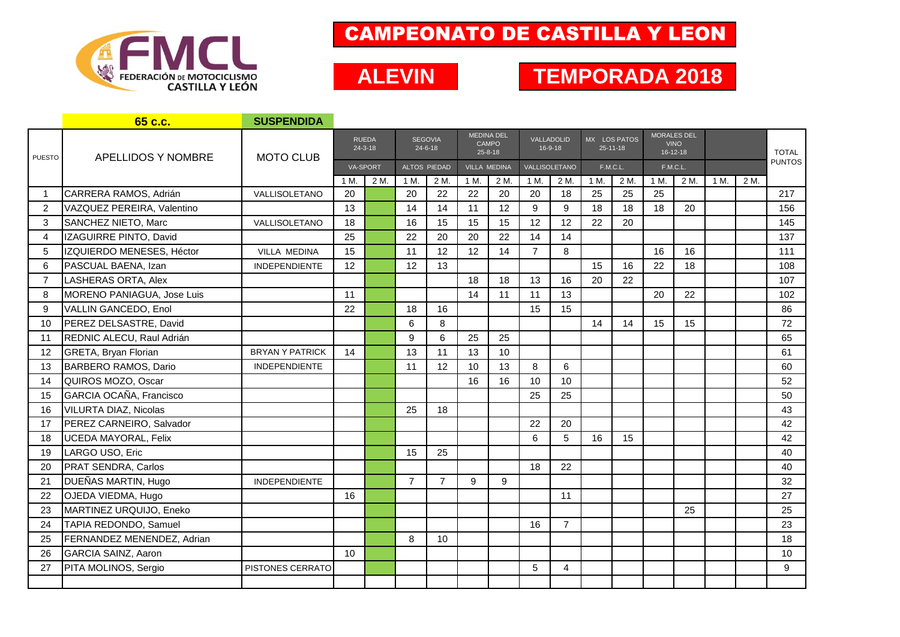

## CAMPEONATO DE CASTILLA Y LEON

## **TEMPORADA 2017 ALEVIN TEMPORADA 2018**

|                | 65 c.c.                     | <b>SUSPENDIDA</b>      |                               |      |                                 |                |                                                    |      |                       |                |                                |      |                                                     |      |      |      |               |
|----------------|-----------------------------|------------------------|-------------------------------|------|---------------------------------|----------------|----------------------------------------------------|------|-----------------------|----------------|--------------------------------|------|-----------------------------------------------------|------|------|------|---------------|
| <b>PUESTO</b>  | <b>APELLIDOS Y NOMBRE</b>   | <b>MOTO CLUB</b>       | <b>RUEDA</b><br>$24 - 3 - 18$ |      | <b>SEGOVIA</b><br>$24 - 6 - 18$ |                | <b>MEDINA DEL</b><br><b>CAMPO</b><br>$25 - 8 - 18$ |      | VALLADOLID<br>16-9-18 |                | MX LOS PATOS<br>$25 - 11 - 18$ |      | <b>MORALES DEL</b><br><b>VINO</b><br>$16 - 12 - 18$ |      |      |      | <b>TOTAL</b>  |
|                |                             |                        | <b>VA-SPORT</b>               |      | ALTOS PIEDAD                    |                | <b>VILLA MEDINA</b>                                |      | VALLISOLETANO         |                | F.M.C.L.                       |      | <b>F.M.C.L.</b>                                     |      |      |      | <b>PUNTOS</b> |
|                |                             |                        | 1 M.                          | 2 M. | 1 M.                            | 2 M.           | 1 M.                                               | 2 M. | 1 M.                  | 2 M.           | 1 M                            | 2 M. | 1 M.                                                | 2 M. | 1 M. | 2 M. |               |
| -1             | CARRERA RAMOS, Adrián       | VALLISOLETANO          | 20                            |      | 20                              | 22             | 22                                                 | 20   | 20                    | 18             | 25                             | 25   | 25                                                  |      |      |      | 217           |
| 2              | VAZQUEZ PEREIRA, Valentino  |                        | 13                            |      | 14                              | 14             | 11                                                 | 12   | 9                     | 9              | 18                             | 18   | 18                                                  | 20   |      |      | 156           |
| 3              | SANCHEZ NIETO, Marc         | VALLISOLETANO          | 18                            |      | 16                              | 15             | 15                                                 | 15   | 12                    | 12             | 22                             | 20   |                                                     |      |      |      | 145           |
| 4              | IZAGUIRRE PINTO, David      |                        | 25                            |      | 22                              | 20             | 20                                                 | 22   | 14                    | 14             |                                |      |                                                     |      |      |      | 137           |
| 5              | IZQUIERDO MENESES, Héctor   | <b>VILLA MEDINA</b>    | 15                            |      | 11                              | 12             | 12                                                 | 14   | $\overline{7}$        | 8              |                                |      | 16                                                  | 16   |      |      | 111           |
| 6              | PASCUAL BAENA, Izan         | <b>INDEPENDIENTE</b>   | 12                            |      | 12                              | 13             |                                                    |      |                       |                | 15                             | 16   | 22                                                  | 18   |      |      | 108           |
| $\overline{7}$ | LASHERAS ORTA, Alex         |                        |                               |      |                                 |                | 18                                                 | 18   | 13                    | 16             | 20                             | 22   |                                                     |      |      |      | 107           |
| 8              | MORENO PANIAGUA, Jose Luis  |                        | 11                            |      |                                 |                | 14                                                 | 11   | 11                    | 13             |                                |      | 20                                                  | 22   |      |      | 102           |
| 9              | VALLIN GANCEDO, Enol        |                        | 22                            |      | 18                              | 16             |                                                    |      | 15                    | 15             |                                |      |                                                     |      |      |      | 86            |
| 10             | PEREZ DELSASTRE, David      |                        |                               |      | 6                               | 8              |                                                    |      |                       |                | 14                             | 14   | 15                                                  | 15   |      |      | 72            |
| 11             | REDNIC ALECU, Raul Adrián   |                        |                               |      | 9                               | 6              | 25                                                 | 25   |                       |                |                                |      |                                                     |      |      |      | 65            |
| 12             | <b>GRETA, Bryan Florian</b> | <b>BRYAN Y PATRICK</b> | 14                            |      | 13                              | 11             | 13                                                 | 10   |                       |                |                                |      |                                                     |      |      |      | 61            |
| 13             | BARBERO RAMOS, Dario        | <b>INDEPENDIENTE</b>   |                               |      | 11                              | 12             | 10                                                 | 13   | 8                     | 6              |                                |      |                                                     |      |      |      | 60            |
| 14             | QUIROS MOZO, Oscar          |                        |                               |      |                                 |                | 16                                                 | 16   | 10                    | 10             |                                |      |                                                     |      |      |      | 52            |
| 15             | GARCIA OCAÑA, Francisco     |                        |                               |      |                                 |                |                                                    |      | 25                    | 25             |                                |      |                                                     |      |      |      | 50            |
| 16             | VILURTA DIAZ, Nicolas       |                        |                               |      | 25                              | 18             |                                                    |      |                       |                |                                |      |                                                     |      |      |      | 43            |
| 17             | PEREZ CARNEIRO, Salvador    |                        |                               |      |                                 |                |                                                    |      | 22                    | 20             |                                |      |                                                     |      |      |      | 42            |
| 18             | <b>UCEDA MAYORAL, Felix</b> |                        |                               |      |                                 |                |                                                    |      | 6                     | 5              | 16                             | 15   |                                                     |      |      |      | 42            |
| 19             | LARGO USO, Eric             |                        |                               |      | 15                              | 25             |                                                    |      |                       |                |                                |      |                                                     |      |      |      | 40            |
| 20             | PRAT SENDRA, Carlos         |                        |                               |      |                                 |                |                                                    |      | 18                    | 22             |                                |      |                                                     |      |      |      | 40            |
| 21             | DUEÑAS MARTIN, Hugo         | <b>INDEPENDIENTE</b>   |                               |      | $\overline{7}$                  | $\overline{7}$ | 9                                                  | 9    |                       |                |                                |      |                                                     |      |      |      | 32            |
| 22             | OJEDA VIEDMA, Hugo          |                        | 16                            |      |                                 |                |                                                    |      |                       | 11             |                                |      |                                                     |      |      |      | 27            |
| 23             | MARTINEZ URQUIJO, Eneko     |                        |                               |      |                                 |                |                                                    |      |                       |                |                                |      |                                                     | 25   |      |      | 25            |
| 24             | TAPIA REDONDO, Samuel       |                        |                               |      |                                 |                |                                                    |      | 16                    | $\overline{7}$ |                                |      |                                                     |      |      |      | 23            |
| 25             | FERNANDEZ MENENDEZ, Adrian  |                        |                               |      | 8                               | 10             |                                                    |      |                       |                |                                |      |                                                     |      |      |      | 18            |
| 26             | <b>GARCIA SAINZ, Aaron</b>  |                        | 10                            |      |                                 |                |                                                    |      |                       |                |                                |      |                                                     |      |      |      | 10            |
| 27             | PITA MOLINOS, Sergio        | PISTONES CERRATO       |                               |      |                                 |                |                                                    |      | 5                     | 4              |                                |      |                                                     |      |      |      | 9             |
|                |                             |                        |                               |      |                                 |                |                                                    |      |                       |                |                                |      |                                                     |      |      |      |               |